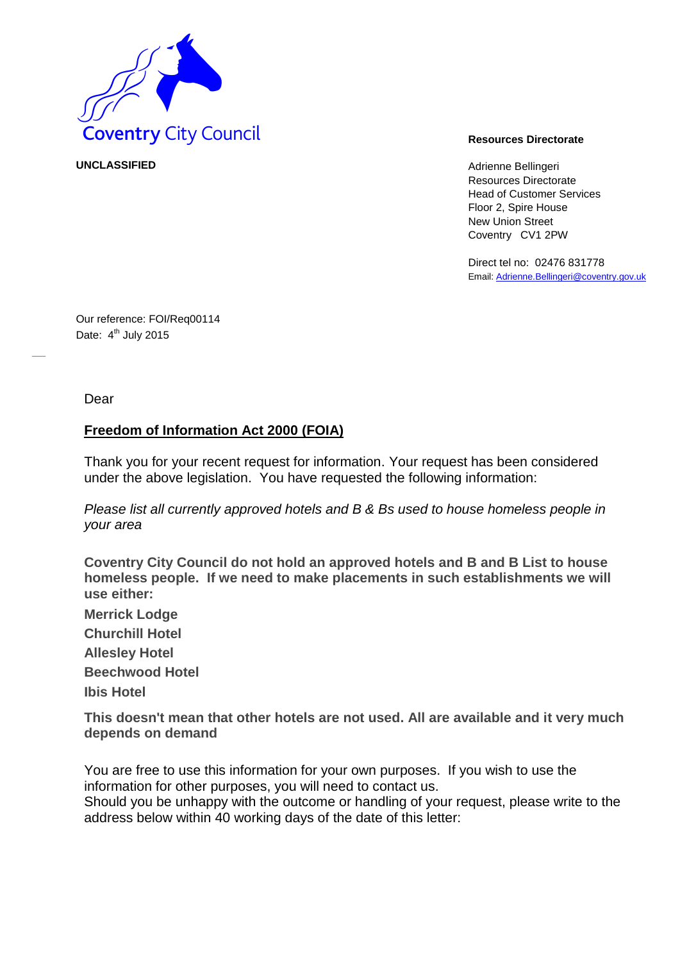

**UNCLASSIFIED** Adrienne Bellingeri Resources Directorate Head of Customer Services Floor 2, Spire House New Union Street Coventry CV1 2PW

> Direct tel no: 02476 831778 Email[: Adrienne.Bellingeri@coventry.gov.uk](mailto:Adrienne.Bellingeri@coventry.gov.uk)

Our reference: FOI/Req00114 Date: 4<sup>th</sup> July 2015

Dear

## **Freedom of Information Act 2000 (FOIA)**

Thank you for your recent request for information. Your request has been considered under the above legislation. You have requested the following information:

*Please list all currently approved hotels and B & Bs used to house homeless people in your area* 

**Coventry City Council do not hold an approved hotels and B and B List to house homeless people. If we need to make placements in such establishments we will use either:** 

**Merrick Lodge Churchill Hotel Allesley Hotel Beechwood Hotel Ibis Hotel** 

**This doesn't mean that other hotels are not used. All are available and it very much depends on demand** 

You are free to use this information for your own purposes. If you wish to use the information for other purposes, you will need to contact us.

Should you be unhappy with the outcome or handling of your request, please write to the address below within 40 working days of the date of this letter: